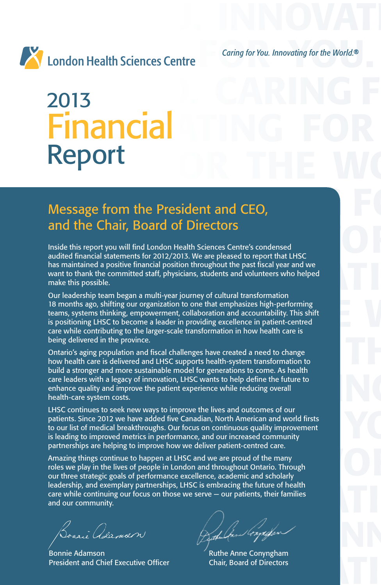



2013 CARING F **Financial TING FOR** Report THE WORLD. 2013 Report

## FOR THE WORLD. THE WORLD. THE WORLD. THE WORLD. CARRIED FOR YOU. IN THE WORLD. THE WORLD. THE WORLD. THE WORLD. IN THE WORLD. THE WORLD. THE WORLD. THE WORLD. THE WORLD. IN THE WORLD. IN THE WORLD. IN THE WORLD. IN THE WOR Message from the President and CEO, and the Chair, Board of Directors

and the Chair, Board of Directors<br>Inside this report you will find London Health Sciences Centre's condensed<br>audited financial statements for 2012/2013. We are pleased to report that LHSC has maintained a positive financial position throughout the past fiscal year and we<br>want to thank the committed staff, physicians, students and volunteers who helped<br>make this possible.<br>Our leadership team began a multi-ve Inside this report you will find London Health Sciences Centre's condensed audited financial statements for 2012/2013. We are pleased to report that LHSC has maintained a positive financial position throughout the past fiscal year and we want to thank the committed staff, physicians, students and volunteers who helped make this possible.

Surface the United States and The United States and States in the Indian States in the International B months ago, shifting our organization to one that emphasizes high-performing<br>teams, systems thinking, empowerment, coll Our leadership team began a multi-year journey of cultural transformation 18 months ago, shifting our organization to one that emphasizes high-performing teams, systems thinking, empowerment, collaboration and accountability. This shift is positioning LHSC to become a leader in providing excellence in patient-centred care while contributing to the larger-scale transformation in how health care is being delivered in the province.

being delivered in the province.<br>Ontario's aging population and fiscal challenges have created a need to change<br>how health care is delivered and LHSC supports health-system transformation to<br>build a stronger and more susta bund a stronger and more sustainable moder for generations to come. As nearly<br>care leaders with a legacy of innovation, LHSC wants to help define the future to<br>enhance quality and improve the patient experience while reduc Ontario's aging population and fiscal challenges have created a need to change how health care is delivered and LHSC supports health-system transformation to build a stronger and more sustainable model for generations to come. As health care leaders with a legacy of innovation, LHSC wants to help define the future to enhance quality and improve the patient experience while reducing overall health-care system costs.

LHSC continues to seek new ways to improve the lives and outcomes of our<br>patients. Since 2012 we have added five Canadian, North American and world firsts<br>to our list of medical breakthroughs. Our focus on continuous quali LHSC continues to seek new ways to improve the lives and outcomes of our patients. Since 2012 we have added five Canadian, North American and world firsts to our list of medical breakthroughs. Our focus on continuous quality improvement is leading to improved metrics in performance, and our increased community partnerships are helping to improve how we deliver patient-centred care.

partnerships are neiping to improve now we deliver patient-centred care.<br>
Amazing things continue to happen at LHSC and we are proud of the many<br>
roles we play in the lives of people in London and throughout Ontario. Throu leadership, and exemplary partnerships, LHSC is embracing the future of health<br>care while continuing our focus on those we serve — our patients, their families<br>and our community. Amazing things continue to happen at LHSC and we are proud of the many roles we play in the lives of people in London and throughout Ontario. Through our three strategic goals of performance excellence, academic and scholarly leadership, and exemplary partnerships, LHSC is embracing the future of health care while continuing our focus on those we serve — our patients, their families and our community.

ARE ARRING FOR THE CONSIGNATION<br>
President and Chief Executive Officer<br>
Chair, Board of Directors Bonnie Adamson President and Chief Executive Officer

Boarie Odernant de Charles Constant

Ruthe Anne Conyngham Chair, Board of Directors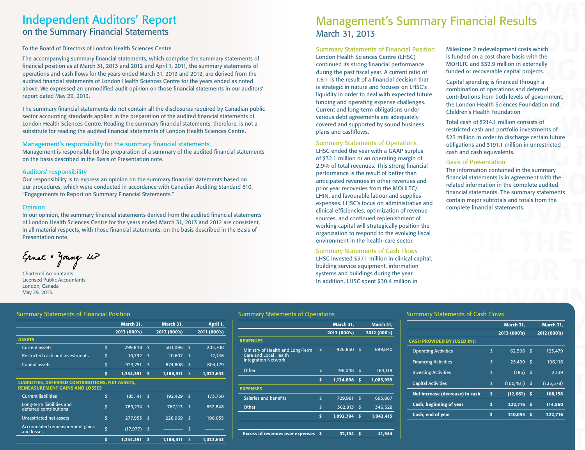## Independent Auditors' Report on the Summary Financial Statements

### To the Board of Directors of London Health Sciences Centre

The accompanying summary financial statements, which comprise the summary statements of financial position as at March 31, 2013 and 2012 and April 1, 2011, the summary statements of operations and cash flows for the years ended March 31, 2013 and 2012, are derived from the audited financial statements of London Health Sciences Centre for the years ended as noted above. We expressed an unmodified audit opinion on those financial statements in our auditors' report dated May 29, 2013.

The summary financial statements do not contain all the disclosures required by Canadian public sector accounting standards applied in the preparation of the audited financial statements of London Health Sciences Centre. Reading the summary financial statements, therefore, is not a substitute for reading the audited financial statements of London Health Sciences Centre.

### Management's responsibility for the summary financial statements

Management is responsible for the preparation of a summary of the audited financial statements on the basis described in the Basis of Presentation note.

### Auditors' responsibility

Our responsibility is to express an opinion on the summary financial statements based on our procedures, which were conducted in accordance with Canadian Auditing Standard 810, "Engagements to Report on Summary Financial Statements."

### **Opinion**

In our opinion, the summary financial statements derived from the audited financial statements of London Health Sciences Centre for the years ended March 31, 2013 and 2012 are consistent, in all material respects, with those financial statements, on the basis described in the Basis of Presentation note.

Ernst & Young LLP

Chartered Accountants Licensed Public Accountants London, Canada May 29, 2013.

# CARING FOR YOU. IN AN INTERNATIONAL PROPERTY FOR THE MANAGEMENT OF THE MANAGEMENT OF THE MANAGEMENT OF THE SUMMA<br>THE MANAGEMENT OF THE MANAGEMENT OF THE MANAGEMENT OF THE MANAGEMENT OF THE MANAGEMENT OF THE MANAGEMENT OF T March 31, 2013<br>Summary Statements of Financial Position Milestone 2 redevelopment costs which<br>London Health Sciences Centre (LHSC) is funded on a cost share basis with the March 31, 2013

mary statements of<br>
mary statements of<br>
e derived from the<br>
sended as noted<br>
Sended as noted<br>
Sended as noted<br>
Sended as noted<br>
Sended as noted<br>
Sended as noted<br>
Sended as noted<br>
Sended as noted<br>
Sended as noted<br>
Sended as Summary Statements of Financial Position London Health Sciences Centre (LHSC) continued its strong financial performance during the past fiscal year. A current ratio of 1.6:1 is the result of a financial decision that is strategic in nature and focuses on LHSC's liquidity in order to deal with expected future funding and operating expense challenges. Current and long-term obligations under various debt agreements are adequately covered and supported by sound business plans and cashflows.

obligations and \$191.1 million in unrestricted<br>d financial statements<br>of \$32.1 million or an operating margin of<br>2.9% of total revenues. This strong financial<br>The information contained in the summary Expenses. LHSC's focus on administrative and<br>
financial statements<br>
complete financial statements.<br>
Sources, and continued replenishment of<br>
working capital will strategically position the Scribed in the Basis of<br>
organization to respond to the evolving fiscal<br>
environment in the health-care sector.<br>
Summary Statements of Cash Flows Summary Statements of Operations LHSC ended the year with a GAAP surplus of \$32.1 million or an operating margin of 2.9% of total revenues. This strong financial performance is the result of better than anticipated revenues in other revenues and prior year recoveries from the MOHLTC/ LHIN, and favourable labour and supplies expenses. LHSC's focus on administrative and clinical efficiencies, optimization of revenue sources, and continued replenishment of working capital will strategically position the organization to respond to the evolving fiscal environment in the health-care sector.

LHSC invested \$37.1 million in clinical capital,<br>building service equipment, information<br>systems and buildings during the year.<br>In addition, LHSC spent \$30.4 million in Summary Statements of Cash Flows LHSC invested \$37.1 million in clinical capital, building service equipment, information systems and buildings during the year. In addition, LHSC spent \$30.4 million in

Milestone 2 redevelopment costs which is funded on a cost share basis with the MOHLTC and \$32.9 million in externally funded or recoverable capital projects.

ments in our auditors' is strategic in nature and focuses on LHSC's<br>
liquidity in order to deal with expected future<br>
funding and operating expense challenges.<br>
Experience to deal with expected future<br>
funding and operatin Capital spending is financed through a combination of operations and deferred contributions from both levels of government, the London Health Sciences Foundation and Children's Health Foundation.

The cial statements of<br>
is therefore, is not a<br>
iences Centre.<br>
Summary Statements of Operations<br>
Summary Statements of Operations<br>
Summary Statements of Operations<br>
Summary Statements of Operations<br>
Summary Statements of Total cash of \$214.1 million consists of restricted cash and portfolio investments of \$23 million in order to discharge certain future obligations and \$191.1 million in unrestricted cash and cash equivalents.

### Basis of Presentation

Performance is the result of better than<br>
inticipated revenues in other revenues and<br>
inticipated information in the complete audited<br>
prior year recoveries from the MOHLTC/<br>
LHIN, and favourable labour and supplies<br>
conta The information contained in the summary financial statements is in agreement with the related information in the complete audited financial statements. The summary statements contain major subtotals and totals from the complete financial statements.

### Summary Statements of Financial Position Summary Statements of Operations Summary Statements of Cash Flows

|                                                                                                  | March 31,       |    | March 31,    |     | April 1,     |
|--------------------------------------------------------------------------------------------------|-----------------|----|--------------|-----|--------------|
|                                                                                                  | 2013 (000's)    |    | 2012 (000's) |     | 2011 (000's) |
| <b>ASSETS</b>                                                                                    |                 |    |              |     |              |
| <b>Current assets</b>                                                                            | \$<br>299,848   | \$ | 303,096      | \$  | 205,708      |
| <b>Restricted cash and investments</b>                                                           | \$<br>10,792    | \$ | 10,607       | l\$ | 12,746       |
| Capital assets                                                                                   | \$<br>923,751   | \$ | 874,808      | \$  | 804,179      |
|                                                                                                  | \$<br>1,234,391 | \$ | 1,188,511    | \$  | 1,022,633    |
| <b>LIABILITIES, DEFERRED CONTRIBUTIONS, NET ASSETS,</b><br><b>REMEASUREMENT GAINS AND LOSSES</b> |                 |    |              |     |              |
| <b>Current liabilities</b>                                                                       | \$<br>185,141   | \$ | 192,429      | \$  | 173,730      |
| Long-term liabilities and<br>deferred contributions                                              | \$<br>789,274   | \$ | 767,113      | \$  | 652,848      |
| Unrestricted net assets                                                                          | \$<br>277,953   | \$ | 228,969      | \$  | 196,055      |
| Accumulated remeasurement gains<br>and losses                                                    | \$<br>(17, 977) | \$ |              | \$  |              |
|                                                                                                  | \$<br>1,234,391 | S  | 1,188,511    | \$  | 1,022,633    |

# ARRING FOR THE WAY TO A REPORT OF A PROPERTY SUMMARY STATEMENTS OF CASH FLOWS Summary Statements of Operations

|                 |                                                                         |                           | <b>March 31,</b> | March 31,    |                                    |                           | March 31,       | March 31,    |
|-----------------|-------------------------------------------------------------------------|---------------------------|------------------|--------------|------------------------------------|---------------------------|-----------------|--------------|
|                 |                                                                         |                           | 2013 (000's)     | 2012 (000's) |                                    |                           | 2013 (000's)    | 2012 (000's) |
| <b>REVENUES</b> |                                                                         |                           |                  |              | <b>CASH PROVIDED BY (USED IN):</b> |                           |                 |              |
|                 | Ministry of Health and Long-Term $\frac{1}{2}$<br>Care and Local Health |                           | 926,850 \$       | 899,840      | <b>Operating Activities</b>        | \$                        | $62,506$ \$     | 123,479      |
|                 | Integration Network                                                     |                           |                  |              | <b>Financing Activities</b>        | $\boldsymbol{\mathsf{s}}$ | 25,499 \$       | 106,116      |
| Other           |                                                                         | \$                        | 198,048 \$       | 184,119      | <b>Investing Activities</b>        | \$                        | $(185)$ \$      | 2,139        |
|                 |                                                                         |                           | $1,124,898$ \$   | 1,083,959    | <b>Capital Activities</b>          | \$                        | $(100, 481)$ \$ | (123, 578)   |
| <b>EXPENSES</b> |                                                                         |                           |                  |              |                                    |                           |                 |              |
|                 | Salaries and benefits                                                   | $\boldsymbol{\mathsf{S}}$ | 729,981 \$       | 695,887      | Net increase (decrease) in cash    | - \$                      | $(12,661)$ \$   | 108,156      |
| Other           |                                                                         | \$                        | 362,813 \$       | 346,528      | Cash, beginning of year            | $\mathbf{s}$              | 222,716 \$      | 114,560      |
|                 |                                                                         |                           | 1,092,794 \$     | 1,042,415    | Cash, end of year                  | \$                        | 210,055 \$      | 222,716      |
|                 |                                                                         |                           |                  |              |                                    |                           |                 |              |
|                 | Excess of revenues over expenses \$                                     |                           | $32,104$ \$      | 41,544       |                                    |                           |                 |              |

|                                    |    | March 31,    |      | <b>March 31,</b> |
|------------------------------------|----|--------------|------|------------------|
|                                    |    | 2013 (000's) |      | 2012 (000's)     |
| <b>CASH PROVIDED BY (USED IN):</b> |    |              |      |                  |
| <b>Operating Activities</b>        | \$ | 62.506       | - \$ | 123,479          |
| <b>Financing Activities</b>        | \$ | 25,499       | \$   | 106,116          |
| <b>Investing Activities</b>        | \$ | (185)        | \$   | 2.139            |
| <b>Capital Activities</b>          | \$ | (100, 481)   | \$   | (123, 578)       |
| Net increase (decrease) in cash    | \$ | (12, 661)    | - 5  | 108.156          |
| Cash, beginning of year            | \$ | 222.716      | 5    | 114,560          |
| Cash, end of year                  | S  | 210.055      | \$   | 222.716          |